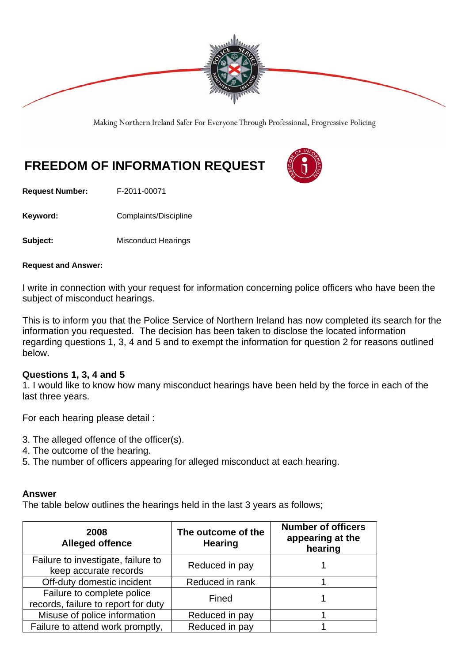

Making Northern Ireland Safer For Everyone Through Professional, Progressive Policing

# **FREEDOM OF INFORMATION REQUEST**



**Request Number:** F-2011-00071

Keyword: **Complaints/Discipline** 

**Subject:** Misconduct Hearings

#### **Request and Answer:**

I write in connection with your request for information concerning police officers who have been the subject of misconduct hearings.

This is to inform you that the Police Service of Northern Ireland has now completed its search for the information you requested. The decision has been taken to disclose the located information regarding questions 1, 3, 4 and 5 and to exempt the information for question 2 for reasons outlined below.

## **Questions 1, 3, 4 and 5**

1. I would like to know how many misconduct hearings have been held by the force in each of the last three years.

For each hearing please detail :

- 3. The alleged offence of the officer(s).
- 4. The outcome of the hearing.
- 5. The number of officers appearing for alleged misconduct at each hearing.

#### **Answer**

The table below outlines the hearings held in the last 3 years as follows;

| 2008<br><b>Alleged offence</b>                                    | The outcome of the<br><b>Hearing</b> | <b>Number of officers</b><br>appearing at the<br>hearing |
|-------------------------------------------------------------------|--------------------------------------|----------------------------------------------------------|
| Failure to investigate, failure to<br>keep accurate records       | Reduced in pay                       |                                                          |
| Off-duty domestic incident                                        | Reduced in rank                      |                                                          |
| Failure to complete police<br>records, failure to report for duty | Fined                                |                                                          |
| Misuse of police information                                      | Reduced in pay                       |                                                          |
| Failure to attend work promptly,                                  | Reduced in pay                       |                                                          |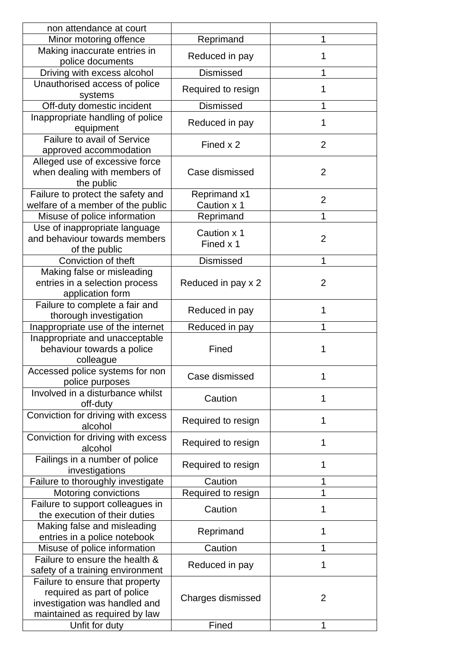| non attendance at court                                                                                                         |                                    |                |
|---------------------------------------------------------------------------------------------------------------------------------|------------------------------------|----------------|
| Minor motoring offence                                                                                                          | Reprimand                          | 1              |
| Making inaccurate entries in<br>police documents                                                                                | Reduced in pay                     | 1              |
| Driving with excess alcohol                                                                                                     | <b>Dismissed</b>                   | 1              |
| Unauthorised access of police<br>systems                                                                                        | Required to resign                 | 1              |
| Off-duty domestic incident                                                                                                      | <b>Dismissed</b>                   | 1              |
| Inappropriate handling of police<br>equipment                                                                                   | Reduced in pay                     | 1              |
| Failure to avail of Service<br>approved accommodation                                                                           | Fined x 2                          | $\overline{2}$ |
| Alleged use of excessive force<br>when dealing with members of<br>the public                                                    | Case dismissed                     | $\overline{2}$ |
| Failure to protect the safety and<br>welfare of a member of the public                                                          | <b>Reprimand x1</b><br>Caution x 1 | $\overline{2}$ |
| Misuse of police information                                                                                                    | Reprimand                          | 1              |
| Use of inappropriate language<br>and behaviour towards members<br>of the public                                                 | Caution x 1<br>Fined x 1           | $\overline{2}$ |
| Conviction of theft                                                                                                             | <b>Dismissed</b>                   | 1              |
| Making false or misleading<br>entries in a selection process<br>application form                                                | Reduced in pay x 2                 | $\overline{2}$ |
| Failure to complete a fair and<br>thorough investigation                                                                        | Reduced in pay                     | 1              |
| Inappropriate use of the internet                                                                                               | Reduced in pay                     | 1              |
| Inappropriate and unacceptable<br>behaviour towards a police<br>colleague                                                       | Fined                              | 1              |
| Accessed police systems for non<br>police purposes                                                                              | Case dismissed                     | 1              |
| Involved in a disturbance whilst<br>off-duty                                                                                    | Caution                            | 1              |
| Conviction for driving with excess<br>alcohol                                                                                   | Required to resign                 | 1              |
| Conviction for driving with excess<br>alcohol                                                                                   | Required to resign                 | 1              |
| Failings in a number of police<br>investigations                                                                                | Required to resign                 | 1              |
| Failure to thoroughly investigate                                                                                               | Caution                            | 1              |
| Motoring convictions                                                                                                            | Required to resign                 | 1              |
| Failure to support colleagues in<br>the execution of their duties                                                               | Caution                            | 1              |
| Making false and misleading<br>entries in a police notebook                                                                     | Reprimand                          | 1              |
| Misuse of police information                                                                                                    | Caution                            | 1              |
| Failure to ensure the health &<br>safety of a training environment                                                              | Reduced in pay                     | 1              |
| Failure to ensure that property<br>required as part of police<br>investigation was handled and<br>maintained as required by law | Charges dismissed                  | $\overline{2}$ |
| Unfit for duty                                                                                                                  | Fined                              | 1              |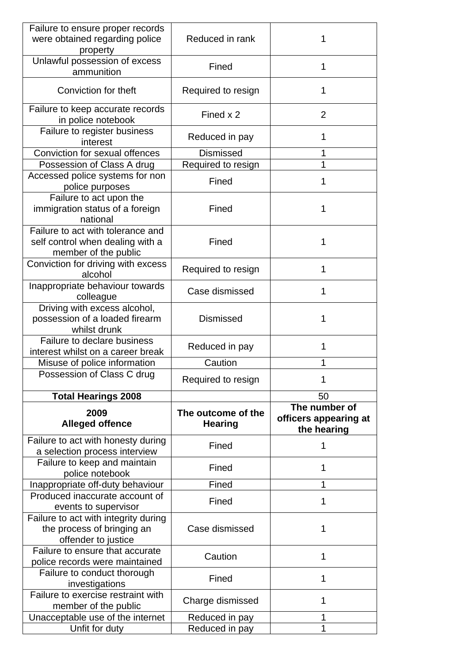| Failure to ensure proper records<br>were obtained regarding police<br>property                | Reduced in rank                      | 1                                                     |
|-----------------------------------------------------------------------------------------------|--------------------------------------|-------------------------------------------------------|
| Unlawful possession of excess<br>ammunition                                                   | Fined                                | 1                                                     |
| Conviction for theft                                                                          | Required to resign                   | 1                                                     |
| Failure to keep accurate records<br>in police notebook                                        | Fined x 2                            | $\overline{2}$                                        |
| Failure to register business<br>interest                                                      | Reduced in pay                       | 1                                                     |
| Conviction for sexual offences                                                                | <b>Dismissed</b>                     | 1                                                     |
| Possession of Class A drug                                                                    | Required to resign                   | 1                                                     |
| Accessed police systems for non<br>police purposes                                            | Fined                                | 1                                                     |
| Failure to act upon the<br>immigration status of a foreign<br>national                        | Fined                                | 1                                                     |
| Failure to act with tolerance and<br>self control when dealing with a<br>member of the public | Fined                                | 1                                                     |
| Conviction for driving with excess<br>alcohol                                                 | Required to resign                   | 1                                                     |
| Inappropriate behaviour towards<br>colleague                                                  | Case dismissed                       | 1                                                     |
| Driving with excess alcohol,<br>possession of a loaded firearm<br>whilst drunk                | <b>Dismissed</b>                     | 1                                                     |
| Failure to declare business<br>interest whilst on a career break                              | Reduced in pay                       | 1                                                     |
| Misuse of police information                                                                  | Caution                              | 1                                                     |
| Possession of Class C drug                                                                    | Required to resign                   | 1                                                     |
| <b>Total Hearings 2008</b>                                                                    |                                      | 50                                                    |
| 2009<br><b>Alleged offence</b>                                                                | The outcome of the<br><b>Hearing</b> | The number of<br>officers appearing at<br>the hearing |
| Failure to act with honesty during<br>a selection process interview                           | Fined                                | 1                                                     |
| Failure to keep and maintain<br>police notebook                                               | Fined                                | 1                                                     |
| Inappropriate off-duty behaviour                                                              | Fined                                | 1                                                     |
| Produced inaccurate account of<br>events to supervisor                                        | Fined                                | 1                                                     |
| Failure to act with integrity during<br>the process of bringing an<br>offender to justice     | Case dismissed                       | 1                                                     |
| Failure to ensure that accurate<br>police records were maintained                             |                                      | 1                                                     |
|                                                                                               | Caution                              |                                                       |
| Failure to conduct thorough<br>investigations                                                 | Fined                                | 1                                                     |
| Failure to exercise restraint with<br>member of the public                                    | Charge dismissed                     | 1                                                     |
| Unacceptable use of the internet                                                              | Reduced in pay                       | 1                                                     |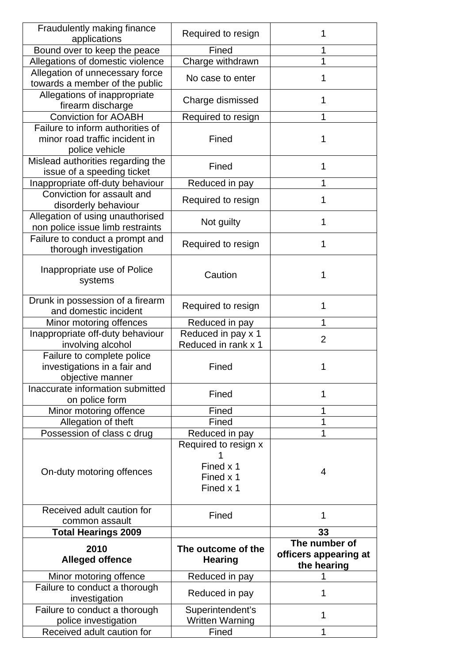| Fraudulently making finance<br>applications                                    | Required to resign                                          | 1                                                     |
|--------------------------------------------------------------------------------|-------------------------------------------------------------|-------------------------------------------------------|
| Bound over to keep the peace                                                   | Fined                                                       | 1                                                     |
| Allegations of domestic violence                                               | Charge withdrawn                                            | 1                                                     |
| Allegation of unnecessary force                                                | No case to enter                                            | 1                                                     |
| towards a member of the public                                                 |                                                             |                                                       |
| Allegations of inappropriate<br>firearm discharge                              | Charge dismissed                                            | 1                                                     |
| <b>Conviction for AOABH</b>                                                    | Required to resign                                          | 1                                                     |
| Failure to inform authorities of                                               |                                                             |                                                       |
| minor road traffic incident in<br>police vehicle                               | Fined                                                       | 1                                                     |
| Mislead authorities regarding the<br>issue of a speeding ticket                | Fined                                                       | 1                                                     |
| Inappropriate off-duty behaviour                                               | Reduced in pay                                              | 1                                                     |
| Conviction for assault and<br>disorderly behaviour                             | Required to resign                                          | 1                                                     |
| Allegation of using unauthorised<br>non police issue limb restraints           | Not guilty                                                  | 1                                                     |
| Failure to conduct a prompt and<br>thorough investigation                      | Required to resign                                          | 1                                                     |
| Inappropriate use of Police<br>systems                                         | Caution                                                     | 1                                                     |
| Drunk in possession of a firearm<br>and domestic incident                      | Required to resign                                          | 1                                                     |
| Minor motoring offences                                                        | Reduced in pay                                              | 1                                                     |
| Inappropriate off-duty behaviour<br>involving alcohol                          | Reduced in pay x 1<br>Reduced in rank x 1                   | $\overline{2}$                                        |
| Failure to complete police<br>investigations in a fair and<br>objective manner | Fined                                                       | 1                                                     |
| Inaccurate information submitted<br>on police form                             | Fined                                                       | 1                                                     |
| Minor motoring offence                                                         | Fined                                                       | 1                                                     |
| Allegation of theft                                                            | Fined                                                       | 1                                                     |
| Possession of class c drug                                                     | Reduced in pay                                              | 1                                                     |
| On-duty motoring offences                                                      | Required to resign x<br>Fined x 1<br>Fined x 1<br>Fined x 1 | 4                                                     |
| Received adult caution for                                                     | Fined                                                       | 1                                                     |
| common assault                                                                 |                                                             |                                                       |
| <b>Total Hearings 2009</b>                                                     |                                                             | 33                                                    |
| 2010<br><b>Alleged offence</b>                                                 | The outcome of the<br><b>Hearing</b>                        | The number of<br>officers appearing at<br>the hearing |
| Minor motoring offence                                                         | Reduced in pay                                              |                                                       |
| Failure to conduct a thorough<br>investigation                                 | Reduced in pay                                              | 1                                                     |
| Failure to conduct a thorough<br>police investigation                          | Superintendent's<br><b>Written Warning</b>                  | 1                                                     |
| Received adult caution for                                                     | Fined                                                       | 1                                                     |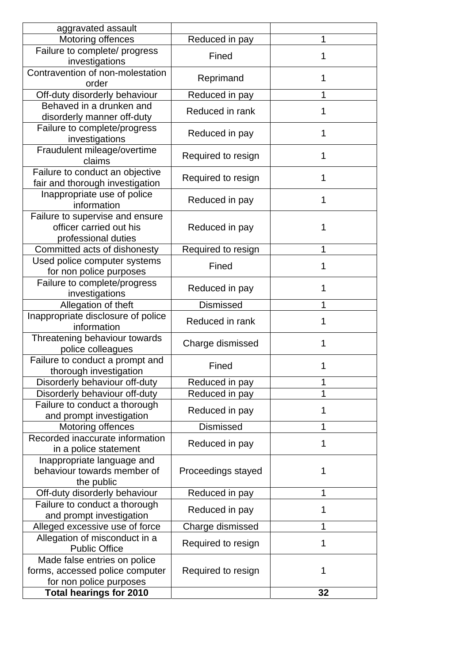| aggravated assault                                                                         |                    |    |
|--------------------------------------------------------------------------------------------|--------------------|----|
| Motoring offences                                                                          | Reduced in pay     | 1  |
| Failure to complete/ progress<br>investigations                                            | Fined              | 1  |
| Contravention of non-molestation<br>order                                                  | Reprimand          | 1  |
| Off-duty disorderly behaviour                                                              | Reduced in pay     | 1  |
| Behaved in a drunken and<br>disorderly manner off-duty                                     | Reduced in rank    | 1  |
| Failure to complete/progress<br>investigations                                             | Reduced in pay     | 1  |
| Fraudulent mileage/overtime<br>claims                                                      | Required to resign | 1  |
| Failure to conduct an objective<br>fair and thorough investigation                         | Required to resign | 1  |
| Inappropriate use of police<br>information                                                 | Reduced in pay     | 1  |
| Failure to supervise and ensure<br>officer carried out his<br>professional duties          | Reduced in pay     | 1  |
| Committed acts of dishonesty                                                               | Required to resign | 1  |
| Used police computer systems<br>for non police purposes                                    | Fined              | 1  |
| Failure to complete/progress<br>investigations                                             | Reduced in pay     | 1  |
| Allegation of theft                                                                        | <b>Dismissed</b>   | 1  |
| Inappropriate disclosure of police<br>information                                          | Reduced in rank    | 1  |
| Threatening behaviour towards<br>police colleagues                                         | Charge dismissed   | 1  |
| Failure to conduct a prompt and<br>thorough investigation                                  | Fined              | 1  |
| Disorderly behaviour off-duty                                                              | Reduced in pay     | 1  |
| Disorderly behaviour off-duty                                                              | Reduced in pay     | 1  |
| Failure to conduct a thorough<br>and prompt investigation                                  | Reduced in pay     | 1  |
| Motoring offences                                                                          | <b>Dismissed</b>   | 1  |
| Recorded inaccurate information<br>in a police statement                                   | Reduced in pay     | 1  |
| Inappropriate language and<br>behaviour towards member of<br>the public                    | Proceedings stayed | 1  |
| Off-duty disorderly behaviour                                                              | Reduced in pay     | 1  |
| Failure to conduct a thorough<br>and prompt investigation                                  | Reduced in pay     | 1  |
| Alleged excessive use of force                                                             | Charge dismissed   | 1  |
| Allegation of misconduct in a<br><b>Public Office</b>                                      | Required to resign | 1  |
| Made false entries on police<br>forms, accessed police computer<br>for non police purposes | Required to resign | 1  |
| <b>Total hearings for 2010</b>                                                             |                    | 32 |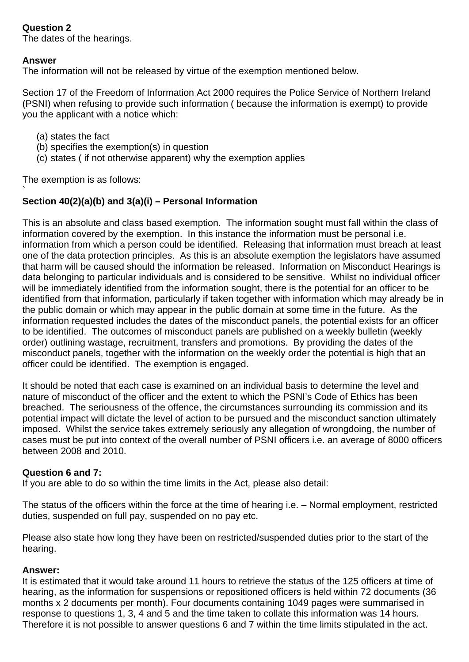# **Question 2**

The dates of the hearings.

## **Answer**

The information will not be released by virtue of the exemption mentioned below.

Section 17 of the Freedom of Information Act 2000 requires the Police Service of Northern Ireland (PSNI) when refusing to provide such information ( because the information is exempt) to provide you the applicant with a notice which:

- (a) states the fact
- (b) specifies the exemption(s) in question
- (c) states ( if not otherwise apparent) why the exemption applies

The exemption is as follows:

#### ` **Section 40(2)(a)(b) and 3(a)(i) – Personal Information**

This is an absolute and class based exemption. The information sought must fall within the class of information covered by the exemption. In this instance the information must be personal i.e. information from which a person could be identified. Releasing that information must breach at least one of the data protection principles. As this is an absolute exemption the legislators have assumed that harm will be caused should the information be released. Information on Misconduct Hearings is data belonging to particular individuals and is considered to be sensitive. Whilst no individual officer will be immediately identified from the information sought, there is the potential for an officer to be identified from that information, particularly if taken together with information which may already be in the public domain or which may appear in the public domain at some time in the future. As the information requested includes the dates of the misconduct panels, the potential exists for an officer to be identified. The outcomes of misconduct panels are published on a weekly bulletin (weekly order) outlining wastage, recruitment, transfers and promotions. By providing the dates of the misconduct panels, together with the information on the weekly order the potential is high that an officer could be identified. The exemption is engaged.

It should be noted that each case is examined on an individual basis to determine the level and nature of misconduct of the officer and the extent to which the PSNI's Code of Ethics has been breached. The seriousness of the offence, the circumstances surrounding its commission and its potential impact will dictate the level of action to be pursued and the misconduct sanction ultimately imposed. Whilst the service takes extremely seriously any allegation of wrongdoing, the number of cases must be put into context of the overall number of PSNI officers i.e. an average of 8000 officers between 2008 and 2010.

## **Question 6 and 7:**

If you are able to do so within the time limits in the Act, please also detail:

The status of the officers within the force at the time of hearing i.e. – Normal employment, restricted duties, suspended on full pay, suspended on no pay etc.

Please also state how long they have been on restricted/suspended duties prior to the start of the hearing.

## **Answer:**

It is estimated that it would take around 11 hours to retrieve the status of the 125 officers at time of hearing, as the information for suspensions or repositioned officers is held within 72 documents (36 months x 2 documents per month). Four documents containing 1049 pages were summarised in response to questions 1, 3, 4 and 5 and the time taken to collate this information was 14 hours. Therefore it is not possible to answer questions 6 and 7 within the time limits stipulated in the act.